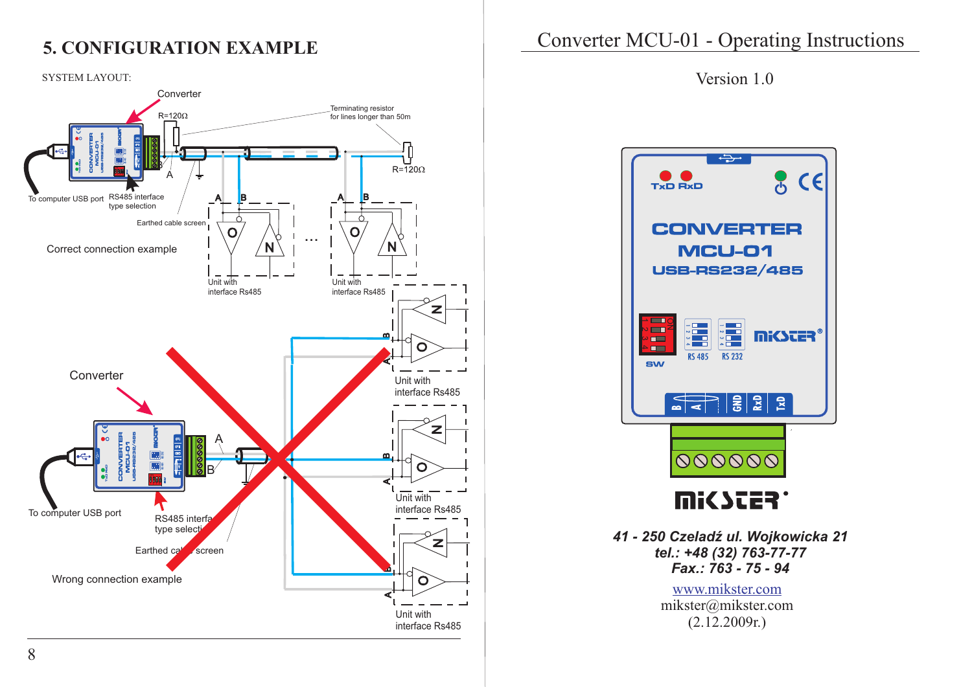## **5. CONFIGURATION EXAMPLE**



# Converter MCU-01 - Operating Instructions



*41 - 250 CzeladŸ ul. Wojkowicka 21 tel.: +48 (32) 763-77-77 Fax.: 763 - 75 - 94*

> www.mikster.com mikster@mikster.com (2.12.2009r.)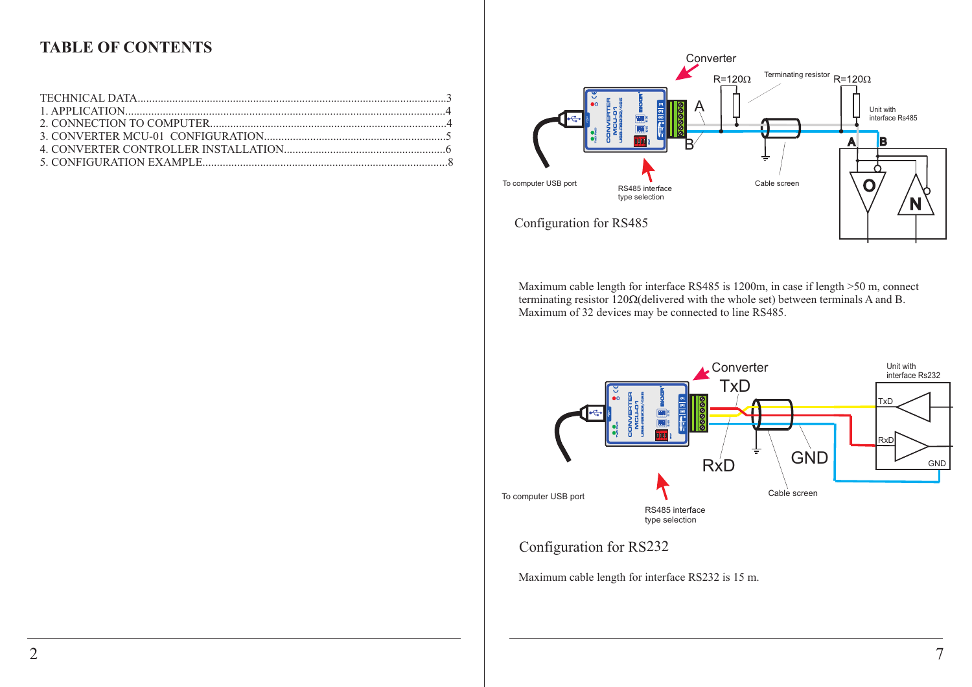### **TABLE OF CONTENTS**



Maximum cable length for interface RS485 is 1200m, in case if length >50 m, connect terminating resistor  $120\Omega$ (delivered with the whole set) between terminals A and B. Maximum of 32 devices may be connected to line RS485.



Maximum cable length for interface RS232 is 15 m.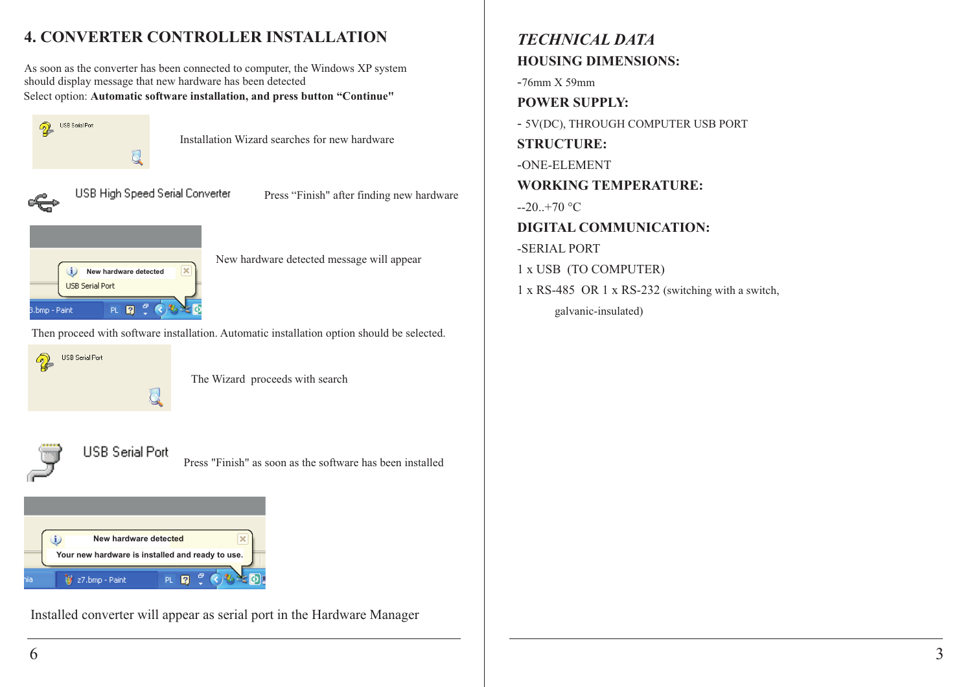## **4. CONVERTER CONTROLLER INSTALLATION**

As soon as the converter has been connected to computer, the Windows XP system should display message that new hardware has been detected Select option: **Automatic software installation, and press button "Continue"**



Installation Wizard searches for new hardware



USB High Speed Serial Converter

Press "Finish" after finding new hardware



New hardware detected message will appear

Then proceed with software installation. Automatic installation option should be selected.

**USB Serial Port** 2  $Q$ 

The Wizard proceeds with search



Press "Finish" as soon as the software has been installed



Installed converter will appear as serial port in the Hardware Manager

### *TECHNICAL DATA* **HOUSING DIMENSIONS:**

-76mm X 59mm

**POWER SUPPLY:**

- 5V(DC), THROUGH COMPUTER USB PORT

**STRUCTURE:**

-ONE-ELEMENT

**WORKING TEMPERATURE:** 

 $-20.+70$  °C

**DIGITAL COMMUNICATION:** 

-SERIAL PORT

1 x USB (TO COMPUTER)

1 x RS-485 OR 1 x RS-232 (switching with a switch, galvanic-insulated)